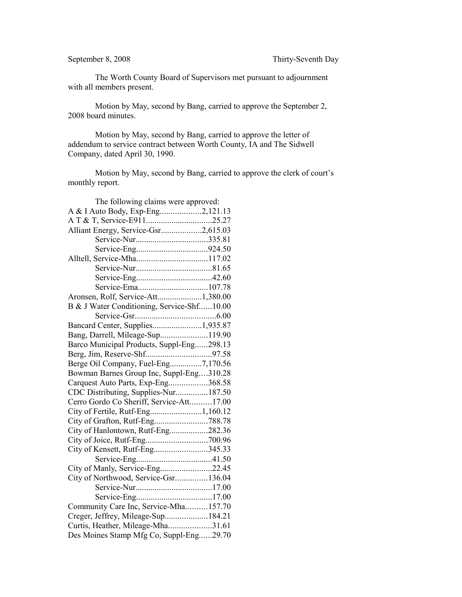The Worth County Board of Supervisors met pursuant to adjournment with all members present.

Motion by May, second by Bang, carried to approve the September 2, 2008 board minutes.

Motion by May, second by Bang, carried to approve the letter of addendum to service contract between Worth County, IA and The Sidwell Company, dated April 30, 1990.

Motion by May, second by Bang, carried to approve the clerk of court's monthly report.

| A & I Auto Body, Exp-Eng2,121.13           |
|--------------------------------------------|
|                                            |
|                                            |
| Alliant Energy, Service-Gsr2,615.03        |
|                                            |
|                                            |
|                                            |
|                                            |
|                                            |
|                                            |
| Aronsen, Rolf, Service-Att1,380.00         |
| B & J Water Conditioning, Service-Shf10.00 |
|                                            |
| Bancard Center, Supplies1,935.87           |
| Bang, Darrell, Mileage-Sup119.90           |
| Barco Municipal Products, Suppl-Eng298.13  |
|                                            |
| Berge Oil Company, Fuel-Eng7,170.56        |
| Bowman Barnes Group Inc, Suppl-Eng310.28   |
| Carquest Auto Parts, Exp-Eng368.58         |
| CDC Distributing, Supplies-Nur187.50       |
| Cerro Gordo Co Sheriff, Service-Att17.00   |
|                                            |
|                                            |
| City of Hanlontown, Rutf-Eng282.36         |
|                                            |
| City of Kensett, Rutf-Eng345.33            |
|                                            |
| City of Manly, Service-Eng22.45            |
| City of Northwood, Service-Gsr136.04       |
|                                            |
|                                            |
| Community Care Inc, Service-Mha157.70      |
| Creger, Jeffrey, Mileage-Sup184.21         |
| Curtis, Heather, Mileage-Mha31.61          |
| Des Moines Stamp Mfg Co, Suppl-Eng29.70    |
|                                            |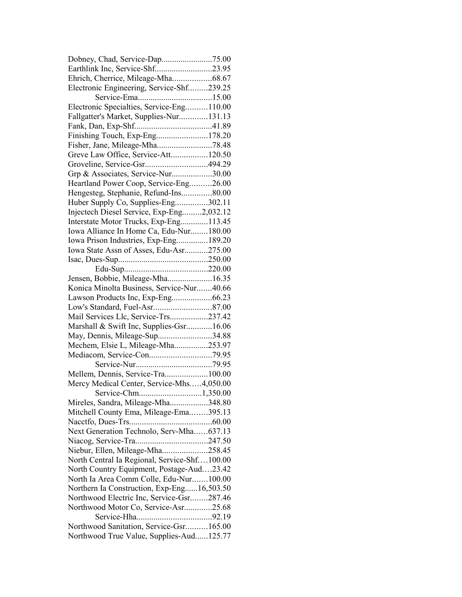| Earthlink Inc, Service-Shf23.95                                                      |  |
|--------------------------------------------------------------------------------------|--|
| Ehrich, Cherrice, Mileage-Mha68.67                                                   |  |
| Electronic Engineering, Service-Shf239.25                                            |  |
|                                                                                      |  |
| Electronic Specialties, Service-Eng110.00                                            |  |
| Fallgatter's Market, Supplies-Nur131.13                                              |  |
|                                                                                      |  |
| Finishing Touch, Exp-Eng178.20                                                       |  |
|                                                                                      |  |
| Greve Law Office, Service-Att120.50                                                  |  |
| Groveline, Service-Gsr494.29                                                         |  |
| Grp & Associates, Service-Nur30.00                                                   |  |
| Heartland Power Coop, Service-Eng26.00                                               |  |
| Hengesteg, Stephanie, Refund-Ins80.00                                                |  |
| Huber Supply Co, Supplies-Eng302.11                                                  |  |
| Injectech Diesel Service, Exp-Eng2,032.12                                            |  |
| Interstate Motor Trucks, Exp-Eng113.45                                               |  |
| Iowa Alliance In Home Ca, Edu-Nur180.00                                              |  |
| Iowa Prison Industries, Exp-Eng189.20                                                |  |
| Iowa State Assn of Asses, Edu-Asr275.00                                              |  |
|                                                                                      |  |
|                                                                                      |  |
| Jensen, Bobbie, Mileage-Mha16.35                                                     |  |
| Konica Minolta Business, Service-Nur40.66                                            |  |
| Lawson Products Inc, Exp-Eng66.23                                                    |  |
|                                                                                      |  |
|                                                                                      |  |
|                                                                                      |  |
| Mail Services Llc, Service-Trs237.42                                                 |  |
| Marshall & Swift Inc, Supplies-Gsr16.06                                              |  |
| May, Dennis, Mileage-Sup34.88                                                        |  |
| Mechem, Elsie L, Mileage-Mha253.97                                                   |  |
|                                                                                      |  |
|                                                                                      |  |
| Mellem, Dennis, Service-Tra100.00                                                    |  |
| Mercy Medical Center, Service-Mhs4,050.00                                            |  |
|                                                                                      |  |
| Mireles, Sandra, Mileage-Mha348.80                                                   |  |
| Mitchell County Ema, Mileage-Ema395.13                                               |  |
|                                                                                      |  |
| Next Generation Technolo, Serv-Mha637.13                                             |  |
|                                                                                      |  |
| Niebur, Ellen, Mileage-Mha258.45<br>North Central Ia Regional, Service-Shf100.00     |  |
|                                                                                      |  |
| North Country Equipment, Postage-Aud23.42<br>North Ia Area Comm Colle, Edu-Nur100.00 |  |
| Northern Ia Construction, Exp-Eng16,503.50                                           |  |
| Northwood Electric Inc, Service-Gsr287.46                                            |  |
| Northwood Motor Co, Service-Asr25.68                                                 |  |
|                                                                                      |  |
| Northwood Sanitation, Service-Gsr165.00                                              |  |